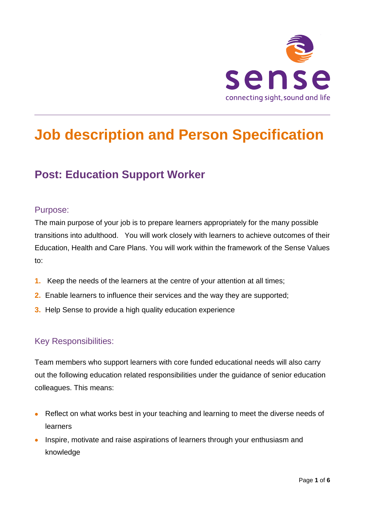

# **Job description and Person Specification**

# **Post: Education Support Worker**

### Purpose:

The main purpose of your job is to prepare learners appropriately for the many possible transitions into adulthood. You will work closely with learners to achieve outcomes of their Education, Health and Care Plans. You will work within the framework of the Sense Values to:

- **1.** Keep the needs of the learners at the centre of your attention at all times;
- **2.** Enable learners to influence their services and the way they are supported;
- **3.** Help Sense to provide a high quality education experience

### Key Responsibilities:

Team members who support learners with core funded educational needs will also carry out the following education related responsibilities under the guidance of senior education colleagues. This means:

- Reflect on what works best in your teaching and learning to meet the diverse needs of learners
- Inspire, motivate and raise aspirations of learners through your enthusiasm and knowledge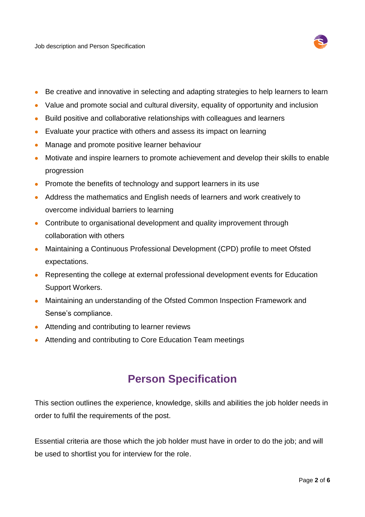Job description and Person Specification



- Be creative and innovative in selecting and adapting strategies to help learners to learn
- Value and promote social and cultural diversity, equality of opportunity and inclusion
- Build positive and collaborative relationships with colleagues and learners
- Evaluate your practice with others and assess its impact on learning
- Manage and promote positive learner behaviour
- Motivate and inspire learners to promote achievement and develop their skills to enable progression
- Promote the benefits of technology and support learners in its use
- Address the mathematics and English needs of learners and work creatively to overcome individual barriers to learning
- Contribute to organisational development and quality improvement through collaboration with others
- Maintaining a Continuous Professional Development (CPD) profile to meet Ofsted expectations.
- Representing the college at external professional development events for Education Support Workers.
- Maintaining an understanding of the Ofsted Common Inspection Framework and Sense's compliance.
- Attending and contributing to learner reviews
- Attending and contributing to Core Education Team meetings

## **Person Specification**

This section outlines the experience, knowledge, skills and abilities the job holder needs in order to fulfil the requirements of the post.

Essential criteria are those which the job holder must have in order to do the job; and will be used to shortlist you for interview for the role.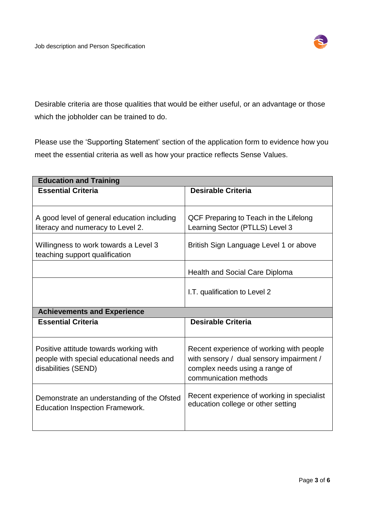

Desirable criteria are those qualities that would be either useful, or an advantage or those which the jobholder can be trained to do.

Please use the 'Supporting Statement' section of the application form to evidence how you meet the essential criteria as well as how your practice reflects Sense Values.

| <b>Education and Training</b>                                                                              |                                                                                                                                                 |
|------------------------------------------------------------------------------------------------------------|-------------------------------------------------------------------------------------------------------------------------------------------------|
| <b>Essential Criteria</b>                                                                                  | <b>Desirable Criteria</b>                                                                                                                       |
|                                                                                                            |                                                                                                                                                 |
| A good level of general education including<br>literacy and numeracy to Level 2.                           | QCF Preparing to Teach in the Lifelong<br>Learning Sector (PTLLS) Level 3                                                                       |
| Willingness to work towards a Level 3<br>teaching support qualification                                    | British Sign Language Level 1 or above                                                                                                          |
|                                                                                                            | <b>Health and Social Care Diploma</b>                                                                                                           |
|                                                                                                            | I.T. qualification to Level 2                                                                                                                   |
| <b>Achievements and Experience</b>                                                                         |                                                                                                                                                 |
| <b>Essential Criteria</b>                                                                                  | <b>Desirable Criteria</b>                                                                                                                       |
| Positive attitude towards working with<br>people with special educational needs and<br>disabilities (SEND) | Recent experience of working with people<br>with sensory / dual sensory impairment /<br>complex needs using a range of<br>communication methods |
| Demonstrate an understanding of the Ofsted<br><b>Education Inspection Framework.</b>                       | Recent experience of working in specialist<br>education college or other setting                                                                |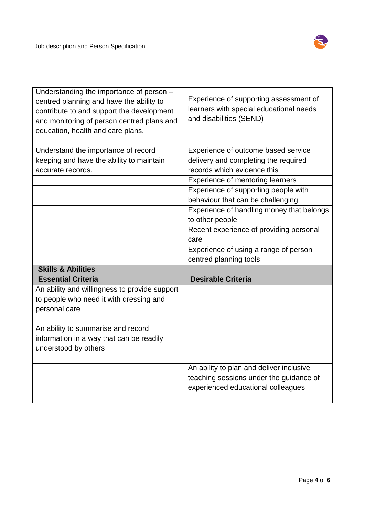

| Understanding the importance of person -<br>centred planning and have the ability to<br>contribute to and support the development<br>and monitoring of person centred plans and<br>education, health and care plans. | Experience of supporting assessment of<br>learners with special educational needs<br>and disabilities (SEND) |
|----------------------------------------------------------------------------------------------------------------------------------------------------------------------------------------------------------------------|--------------------------------------------------------------------------------------------------------------|
| Understand the importance of record                                                                                                                                                                                  | Experience of outcome based service                                                                          |
| keeping and have the ability to maintain                                                                                                                                                                             | delivery and completing the required                                                                         |
| accurate records.                                                                                                                                                                                                    | records which evidence this                                                                                  |
|                                                                                                                                                                                                                      | Experience of mentoring learners                                                                             |
|                                                                                                                                                                                                                      | Experience of supporting people with                                                                         |
|                                                                                                                                                                                                                      | behaviour that can be challenging                                                                            |
|                                                                                                                                                                                                                      | Experience of handling money that belongs                                                                    |
|                                                                                                                                                                                                                      | to other people                                                                                              |
|                                                                                                                                                                                                                      | Recent experience of providing personal                                                                      |
|                                                                                                                                                                                                                      | care                                                                                                         |
|                                                                                                                                                                                                                      | Experience of using a range of person                                                                        |
|                                                                                                                                                                                                                      | centred planning tools                                                                                       |
|                                                                                                                                                                                                                      |                                                                                                              |
| <b>Skills &amp; Abilities</b>                                                                                                                                                                                        |                                                                                                              |
| <b>Essential Criteria</b>                                                                                                                                                                                            | <b>Desirable Criteria</b>                                                                                    |
| An ability and willingness to provide support                                                                                                                                                                        |                                                                                                              |
| to people who need it with dressing and                                                                                                                                                                              |                                                                                                              |
| personal care                                                                                                                                                                                                        |                                                                                                              |
| An ability to summarise and record                                                                                                                                                                                   |                                                                                                              |
| information in a way that can be readily                                                                                                                                                                             |                                                                                                              |
| understood by others                                                                                                                                                                                                 |                                                                                                              |
|                                                                                                                                                                                                                      |                                                                                                              |
|                                                                                                                                                                                                                      | An ability to plan and deliver inclusive                                                                     |
|                                                                                                                                                                                                                      | teaching sessions under the guidance of                                                                      |
|                                                                                                                                                                                                                      | experienced educational colleagues                                                                           |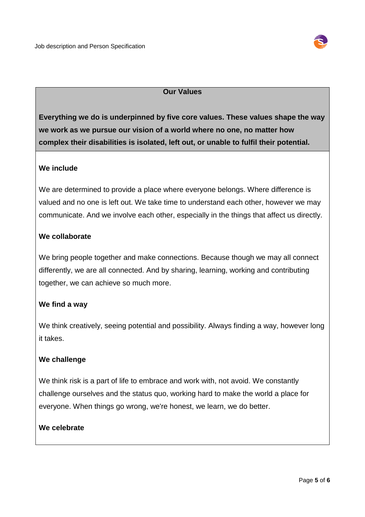

#### **Our Values**

**Everything we do is underpinned by five core values. These values shape the way we work as we pursue our vision of a world where no one, no matter how complex their disabilities is isolated, left out, or unable to fulfil their potential.**

#### **We include**

We are determined to provide a place where everyone belongs. Where difference is valued and no one is left out. We take time to understand each other, however we may communicate. And we involve each other, especially in the things that affect us directly.

#### **We collaborate**

We bring people together and make connections. Because though we may all connect differently, we are all connected. And by sharing, learning, working and contributing together, we can achieve so much more.

#### **We find a way**

We think creatively, seeing potential and possibility. Always finding a way, however long it takes.

#### **We challenge**

We think risk is a part of life to embrace and work with, not avoid. We constantly challenge ourselves and the status quo, working hard to make the world a place for everyone. When things go wrong, we're honest, we learn, we do better.

#### **We celebrate**